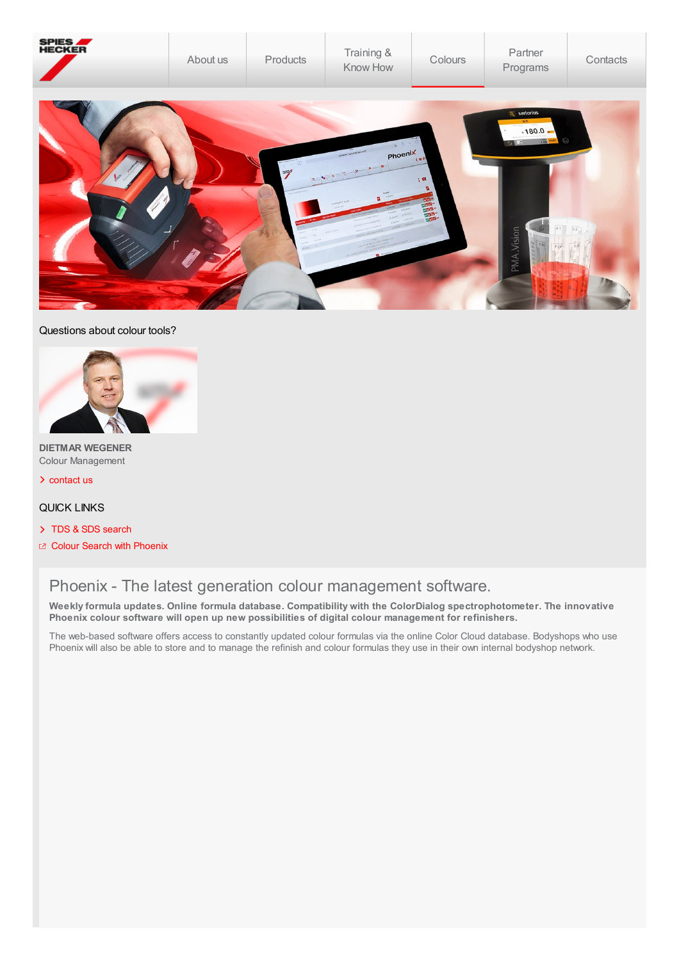

## Questions about colour tools?



**DIETMAR WEGENER** Colour Management

[contact](http://localhost:4513/content/spieshecker_corporate/en_GB/contacts/company-contacts.html) us &

## QUICK LINKS

- > TDS & SDS [search](http://localhost:4513/content/spieshecker_corporate/en_GB/products/TDS-SDS.html)
- z Colour Search with [Phoenix](javascript:SSOCall()

# Phoenix - The latest generation colour management software.

**Weekly formula updates. Online formula database. Compatibility with the ColorDialog spectrophotometer. The innovative Phoenix colour software will open up new possibilities of digital colour management for refinishers.**

The web-based software offers access to constantly updated colour formulas via the online Color Cloud database. Bodyshops who use Phoenix will also be able to store and to manage the refinish and colour formulas they use in their own internal bodyshop network.